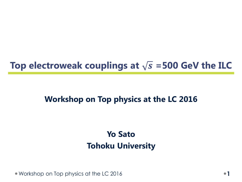# Top electroweak couplings at  $\sqrt{s}$  =500 GeV the ILC

# **Workshop on Top physics at the LC 2016**

# **Yo Sato Tohoku University**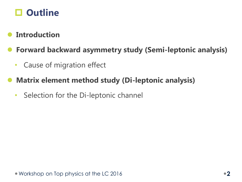

### **Introduction**

## **Forward backward asymmetry study (Semi-leptonic analysis)**

- Cause of migration effect
- **Matrix element method study (Di-leptonic analysis)**
	- Selection for the Di-leptonic channel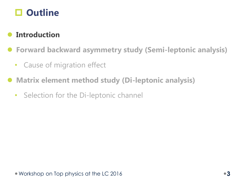

### **Introduction**

**Forward backward asymmetry study (Semi-leptonic analysis)**

- Cause of migration effect
- **Matrix element method study (Di-leptonic analysis)**
	- Selection for the Di-leptonic channel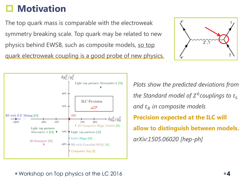# **Motivation**

The top quark mass is comparable with the electroweak symmetry breaking scale. Top quark may be related to new physics behind EWSB, such as composite models, so top quark electroweak coupling is a good probe of new physics.





*Plots show the predicted deviations from*  the Standard model of  $Z^0$ couplings to  $t_L$ *and in composite models* **Precision expected at the ILC will allow to distinguish between models.** *arXiv:1505.06020 [hep-ph]*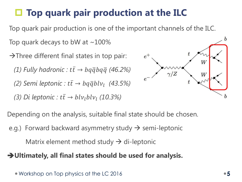# **Top quark pair production at the ILC**

Top quark pair production is one of the important channels of the ILC.

Top quark decays to bW at  $\sim$  100%

 $\rightarrow$ Three different final states in top pair: *(1) Fully hadronic :*  $t\bar{t} \rightarrow b q \bar{q} b q \bar{q}$  *(46.2%)*  $(2)$  Semi leptonic :  $t\bar{t} \rightarrow bq\bar{q}blv_l$  (43.5%)

*(3) Di leptonic* :  $t\bar{t} \rightarrow blv_lblv_l$  *(10.3%)* 



Depending on the analysis, suitable final state should be chosen.

e.g.) Forward backward asymmetry study  $\rightarrow$  semi-leptonic

Matrix element method study  $\rightarrow$  di-leptonic

#### **Ultimately, all final states should be used for analysis.**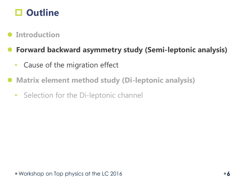

### **Introduction**

## **Forward backward asymmetry study (Semi-leptonic analysis)**

- Cause of the migration effect
- **Matrix element method study (Di-leptonic analysis)**
	- Selection for the Di-leptonic channel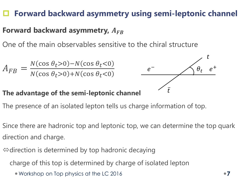# **Forward backward asymmetry using semi-leptonic channel**

## **Forward backward asymmetry,**

One of the main observables sensitive to the chiral structure

$$
A_{FB} = \frac{N(\cos \theta_t > 0) - N(\cos \theta_t < 0)}{N(\cos \theta_t > 0) + N(\cos \theta_t < 0)}
$$

#### **The advantage of the semi-leptonic channel**



- The presence of an isolated lepton tells us charge information of top.
- Since there are hadronic top and leptonic top, we can determine the top quark direction and charge.
- $\Leftrightarrow$  direction is determined by top hadronic decaying
	- charge of this top is determined by charge of isolated lepton
		- Workshop on Top physics at the LC 2016 **7**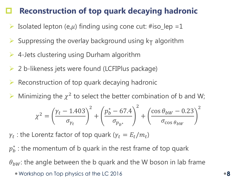# **Reconstruction of top quark decaying hadronic**

- $\triangleright$  Isolated lepton (e,  $\mu$ ) finding using cone cut: #iso\_lep =1
- $\triangleright$  Suppressing the overlay background using k<sub>T</sub> algorithm
- $\triangleright$  4-Jets clustering using Durham algorithm
- 2 b-likeness jets were found (LCFIPlus package)
- Reconstruction of top quark decaying hadronic
- $\triangleright$  Minimizing the  $\chi^2$  to select the better combination of b and W;

$$
\chi^{2} = \left(\frac{\gamma_{t} - 1.403}{\sigma_{\gamma_{t}}}\right)^{2} + \left(\frac{p_{b}^{*} - 67.4}{\sigma_{p_{b^{*}}}}\right)^{2} + \left(\frac{\cos \theta_{bW} - 0.23}{\sigma_{\cos \theta_{bW}}}\right)^{2}
$$

 $\gamma_t$  : the Lorentz factor of top quark ( $\gamma_t = E_t/m_t$ )

 $p_b^\ast$  : the momentum of b quark in the rest frame of top quark

 $\theta_{hW}$ : the angle between the b quark and the W boson in lab frame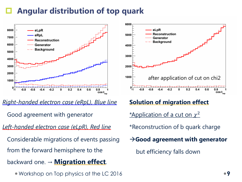# **Angular distribution of top quark**



*Right-handed electron case (eRpL), Blue line* Good agreement with generator *Left-handed electron case (eLpR), Red line* Considerable migrations of events passing from the forward hemisphere to the backward one. → **Migration effect**.

Workshop on Top physics at the LC 2016 **9**



### **Solution of migration effect**

\*Application of a cut on  $\chi^2$ 

\*Reconstruction of b quark charge

**Good agreement with generator**

but efficiency falls down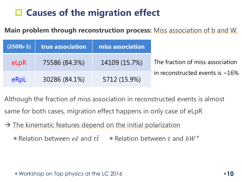# **Causes of the migration effect**

**Main problem through reconstruction process:** Miss association of b and W.

| $(250fb-1)$ | true association | miss association |                                       |
|-------------|------------------|------------------|---------------------------------------|
| eLpR        | 75586 (84.3%)    | 14109 (15.7%)    | The fraction of miss association      |
| eRpL        | 30286 (84.1%)    | 5712 (15.9%)     | in reconstructed events is $\sim$ 16% |

Although the fraction of miss association in reconstructed events is almost same for both cases, migration effect happens in only case of eLpR

 $\rightarrow$  The kinematic features depend on the initial polarization

\* Relation between  $e\bar{e}$  and  $t\bar{t}$   $\rightarrow$  Relation between t and  $bW^+$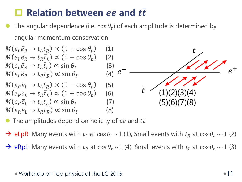# **Relation between**  $e\overline{e}$  and  $t\overline{t}$

• The angular dependence (i.e.  $\cos \theta_t$ ) of each amplitude is determined by angular momentum conservation



- The amplitudes depend on helicity of  $e\bar{e}$  and  $t\bar{t}$
- $\rightarrow$  eLpR: Many events with  $t_L$  at cos  $\theta_t \sim 1$  (1), Small events with  $t_R$  at cos  $\theta_t \sim 1$  (2)
- $\rightarrow$  eRpL: Many events with  $t_R$  at cos  $\theta_t \sim 1$  (4), Small events with  $t_L$  at cos  $\theta_t \sim 1$  (3)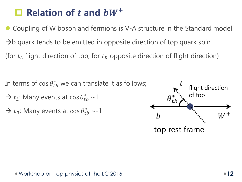# $\Box$  **Relation of** *t* and  $bW^+$

 Coupling of W boson and fermions is V-A structure in the Standard model  $\rightarrow$ b quark tends to be emitted in opposite direction of top quark spin (for  $t_L$  flight direction of top, for  $t_R$  opposite direction of flight direction)

In terms of  $\cos\theta_{tb}^*$  we can translate it as follows;

- $\rightarrow t_L$ : Many events at cos  $\theta_{tb}^* \sim 1$
- $\rightarrow t_R$ : Many events at cos  $\theta_{tb}^* \sim 1$

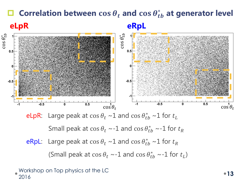# **□** Correlation between  $\cos \theta_t$  and  $\cos \theta_{tb}^*$  at generator level **eLpR eRpL**



Small peak at  $\cos\theta_t \sim -1$  and  $\cos\theta_{tb}^* \sim -1$  for  $t_R$ 

eRpL: Large peak at  $\cos \theta_t \sim 1$  and  $\cos \theta_{tb}^* \sim 1$  for  $t_R$ 

(Small peak at  $\cos\theta_t \sim -1$  and  $\cos\theta_{tb}^* \sim -1$  for  $t_L$ )

#### Workshop on Top physics at the LC workshop on rop priysics on the LC<br>2016 **13**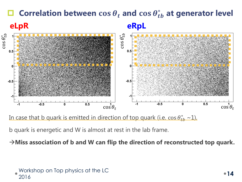### **□** Correlation between  $\cos \theta_t$  and  $\cos \theta_{tb}^*$  at generator level  $\frac{2}{3}$  $\theta_{tb}^*$  $\theta_{tb}^*$ **eLpR eRpL**



In case that b quark is emitted in direction of top quark (i.e.  $\cos\theta_{tb}^*$  ~1),

b quark is energetic and W is almost at rest in the lab frame.

**Miss association of b and W can flip the direction of reconstructed top quark.**

```
Workshop on Top physics at the LC 
workshop on rop priysics on the LC<br>2016
```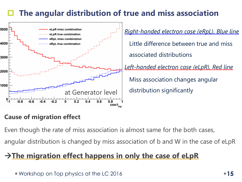# **The angular distribution of true and miss association**



### **Cause of migration effect**

- Even though the rate of miss association is almost same for the both cases,
- angular distribution is changed by miss association of b and W in the case of eLpR

# → The migration effect happens in only the case of eLpR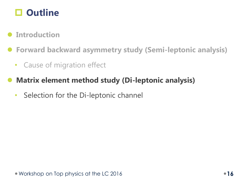

### **Introduction**

- **Forward backward asymmetry study (Semi-leptonic analysis)**
	- Cause of migration effect
- **Matrix element method study (Di-leptonic analysis)**
	- Selection for the Di-leptonic channel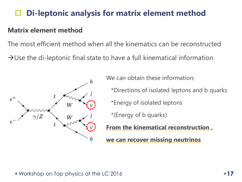# **Di-leptonic analysis for matrix element method**

#### **Matrix element method**

The most efficient method when all the kinematics can be reconstructed  $\rightarrow$ Use the di-leptonic final state to have a full kinematical information



We can obtain these information; \*Directions of isolated leptons and b quarks \*Energy of isolated leptons \*(Energy of b quarks) **From the kinematical reconstruction ,**

**we can recover missing neutrinos**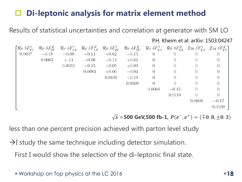# **Di-leptonic analysis for matrix element method**

#### P.H. Kheim et al: arXiv: 1503:04247 $\begin{bmatrix} \mathcal{R}\text{e}\;\delta\tilde{F}_{1V}^{\gamma} & \mathcal{R}\text{e}\;\delta\tilde{F}_{1V}^{Z} & \mathcal{R}\text{e}\;\delta\tilde{F}_{1A}^{\gamma} & \mathcal{R}\text{e}\;\delta\tilde{F}_{1A}^{Z} & \mathcal{R}\text{e}\;\delta\tilde{F}_{2V}^{\gamma} & \mathcal{R}\text{e}\;\delta\tilde{F}_{2V}^{Z} & \mathcal{R}\text{e}\;\delta\tilde{F}_{2A}^{\gamma} & \mathcal{I}\text{m}\;\delta\tilde{F}_{2A}^{\gamma} & \mathcal{I}\text{m$ 0.0037  $-0.18$   $-0.09$   $+0.14$   $+0.62$  $-0.15$  $\overline{0}$  $\overline{0}$  $\overline{0}$  $\overline{0}$ 0.0063  $+,14$   $-0.06$   $-0.13$   $+0.61$  $\overline{0}$  $\overline{0}$  $\Omega$  $\Omega$  $0.0053$   $-0.15$   $-0.05$   $+0.09$  0  $\overline{0}$  $\Omega$  $\overline{0}$  $0.0083 + 0.06 -0.04 = 0$  $\overline{0}$  $\overline{0}$  $\Omega$  $0.0105 -0.19$  $\overline{0}$  $\sim$  0  $\overline{0}$  $\Omega$ 0.0169  $\overline{0}$  $\theta$  $\overline{0}$  $\Omega$ 0.0068  $-0.15$  $\Omega$  $\Omega$ 0.0118  $\overline{0}$  $\overline{0}$ 0.0069  $-0.17$ 0.0100

Results of statistical uncertainties and correlation at generator with SM LO

 $\overline{s}$  =500 GeV,500 fb-1,  $P(e^-, e^+) = (\overline{+}0.8, \pm 0.3)$ 

less than one percent precision achieved with parton level study

 $\rightarrow$ I study the same technique including detector simulation. First I would show the selection of the di-leptonic final state.

```
Workshop on Top physics at the LC 2016 18
```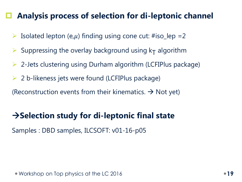# **Analysis process of selection for di-leptonic channel**

- $\triangleright$  Isolated lepton (e,  $\mu$ ) finding using cone cut: #iso\_lep =2
- $\triangleright$  Suppressing the overlay background using k<sub>T</sub> algorithm
- 2-Jets clustering using Durham algorithm (LCFIPlus package)
- $\triangleright$  2 b-likeness jets were found (LCFIPlus package)
- (Reconstruction events from their kinematics.  $\rightarrow$  Not yet)

# **Selection study for di-leptonic final state**

Samples : DBD samples, ILCSOFT: v01-16-p05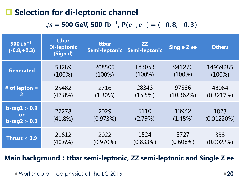# **□ Selection for di-leptonic channel**

### $\overline{s}$  = 500 GeV, 500 fb<sup>-1</sup>, P $(e^-, e^+)$  =  $(-0.8, +0.3)$

| 500 fb <sup><math>-1</math></sup><br>$(-0.8,+0.3)$ | ttbar<br><b>Di-leptonic</b><br>(Signal) | ttbar<br>Semi-leptonic | <b>ZZ</b><br>Semi-leptonic | <b>Single Z ee</b> | <b>Others</b>         |
|----------------------------------------------------|-----------------------------------------|------------------------|----------------------------|--------------------|-----------------------|
| <b>Generated</b>                                   | 53289                                   | 208505                 | 183053                     | 941270             | 14939285              |
|                                                    | $(100\%)$                               | $(100\%)$              | $(100\%)$                  | $(100\%)$          | $(100\%)$             |
| # of lepton $=$                                    | 25482                                   | 2716                   | 28343                      | 97536              | 48064                 |
|                                                    | $(47.8\%)$                              | $(1.30\%)$             | (15.5%)                    | (10.362%)          | (0.3217%)             |
| $b$ -tag $1 > 0.8$<br>or<br>$b$ -tag2 > 0.8        | 22278<br>$(41.8\%)$                     | 2029<br>(0.973%)       | 5110<br>(2.79%)            | 13942<br>(1.48%)   | 1823<br>$(0.01220\%)$ |
| Thrust $< 0.9$                                     | 21612                                   | 2022                   | 1524                       | 5727               | 333                   |
|                                                    | $(40.6\%)$                              | $(0.970\%)$            | (0.833%)                   | $(0.608\%)$        | $(0.0022\%)$          |

#### **Main background**:**ttbar semi-leptonic, ZZ semi-leptonic and Single Z ee**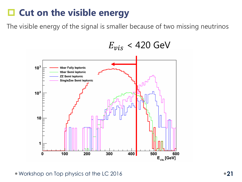# **□ Cut on the visible energy**

The visible energy of the signal is smaller because of two missing neutrinos

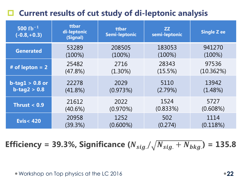# **Current results of cut study of di-leptonic analysis**

| 500 $fb^{-1}$<br>$(-0.8,+0.3)$ | ttbar<br>di-leptonic<br>(Signal) | ttbar<br>Semi-leptonic | ZZ<br>semi-leptonic | <b>Single Z ee</b> |
|--------------------------------|----------------------------------|------------------------|---------------------|--------------------|
| <b>Generated</b>               | 53289                            | 208505                 | 183053              | 941270             |
|                                | $(100\%)$                        | $(100\%)$              | $(100\%)$           | $(100\%)$          |
| # of lepton $= 2$              | 25482                            | 2716                   | 28343               | 97536              |
|                                | (47.8%)                          | $(1.30\%)$             | $(15.5\%)$          | (10.362%)          |
| $b$ -tag $1 > 0.8$ or          | 22278                            | 2029                   | 5110                | 13942              |
| $b$ -tag2 > 0.8                | $(41.8\%)$                       | (0.973%)               | (2.79%)             | $(1.48\%)$         |
| Thrust $< 0.9$                 | 21612                            | 2022                   | 1524                | 5727               |
|                                | $(40.6\%)$                       | $(0.970\%)$            | (0.833%)            | $(0.608\%)$        |
| <b>Evis&lt;420</b>             | 20958                            | 1252                   | 502                 | 1114               |
|                                | (39.3%)                          | $(0.600\%)$            | (0.274)             | (0.118%)           |

**Efficiency = 39.3%, Significance**  $(N_{sig.}/\sqrt{N_{sig.}+N_{bkg.}})$  **= 135.8**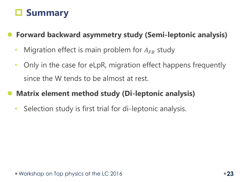# **Summary**

**Forward backward asymmetry study (Semi-leptonic analysis)**

- Migration effect is main problem for  $A_{FB}$  study
- Only in the case for eLpR, migration effect happens frequently since the W tends to be almost at rest.

# **Matrix element method study (Di-leptonic analysis)**

• Selection study is first trial for di-leptonic analysis.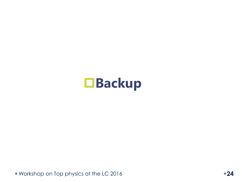